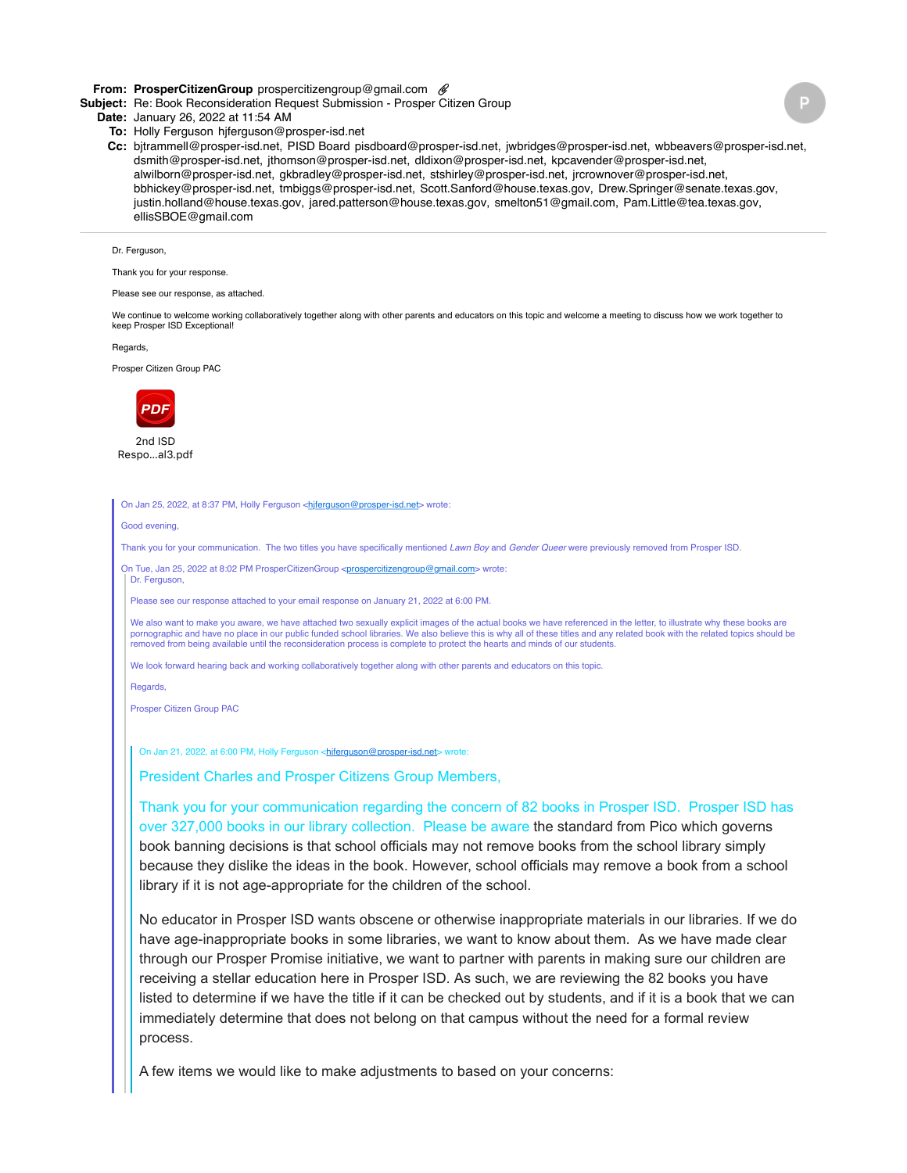# **From: ProsperCitizenGroup** prospercitizengroup@gmail.com

**Subject:** Re: Book Reconsideration Request Submission - Prosper Citizen Group

### **Date:** January 26, 2022 at 11:54 AM

- **To:** Holly Ferguson hjferguson@prosper-isd.net
- **Cc:** bjtrammell@prosper-isd.net, PISD Board pisdboard@prosper-isd.net, jwbridges@prosper-isd.net, wbbeavers@prosper-isd.net, dsmith@prosper-isd.net, jthomson@prosper-isd.net, dldixon@prosper-isd.net, kpcavender@prosper-isd.net, alwilborn@prosper-isd.net, gkbradley@prosper-isd.net, stshirley@prosper-isd.net, jrcrownover@prosper-isd.net, bbhickey@prosper-isd.net, tmbiggs@prosper-isd.net, Scott.Sanford@house.texas.gov, Drew.Springer@senate.texas.gov, justin.holland@house.texas.gov, jared.patterson@house.texas.gov, smelton51@gmail.com, Pam.Little@tea.texas.gov, ellisSBOE@gmail.com

# Dr. Ferguson,

Thank you for your response.

#### Please see our response, as attached.

We continue to welcome working collaboratively together along with other parents and educators on this topic and welcome a meeting to discuss how we work together to keep Prosper ISD Exceptional!

Regards,

Prosper Citizen Group PAC



2nd ISD Respo…al3.pdf

#### On Jan 25, 2022, at 8:37 PM, Holly Ferguson <hter <hterpuson@prosper-isd.net> wrote:

Good evening,

Dr. Ferguson,

Thank you for your communication. The two titles you have specifically mentioned *Lawn Boy* and *Gender Queer* were previously removed from Prosper ISD.

On Tue, Jan 25, 2022 at 8:02 PM ProsperCitizenGroup [<prospercitizengroup@gmail.com>](mailto:prospercitizengroup@gmail.com) wrote:

Please see our response attached to your email response on January 21, 2022 at 6:00 PM.

We also want to make you aware, we have attached two sexually explicit images of the actual books we have referenced in the letter, to illustrate why these books are pornographic and have no place in our public funded school libraries. We also believe this is why all of these titles and any related book with the related topics should be removed from being available until the reconsideration process is complete to protect the hearts and minds of our students.

We look forward hearing back and working collaboratively together along with other parents and educators on this topic

Regards,

Prosper Citizen Group PAC

On Jan 21, 2022, at 6:00 PM, Holly Ferguson <http://erguson@prosper-isd.net> wrote:

President Charles and Prosper Citizens Group Members,

Thank you for your communication regarding the concern of 82 books in Prosper ISD. Prosper ISD has over 327,000 books in our library collection. Please be aware the standard from Pico which governs book banning decisions is that school officials may not remove books from the school library simply because they dislike the ideas in the book. However, school officials may remove a book from a school library if it is not age-appropriate for the children of the school.

No educator in Prosper ISD wants obscene or otherwise inappropriate materials in our libraries. If we do have age-inappropriate books in some libraries, we want to know about them. As we have made clear through our Prosper Promise initiative, we want to partner with parents in making sure our children are receiving a stellar education here in Prosper ISD. As such, we are reviewing the 82 books you have listed to determine if we have the title if it can be checked out by students, and if it is a book that we can immediately determine that does not belong on that campus without the need for a formal review process.

A few items we would like to make adjustments to based on your concerns: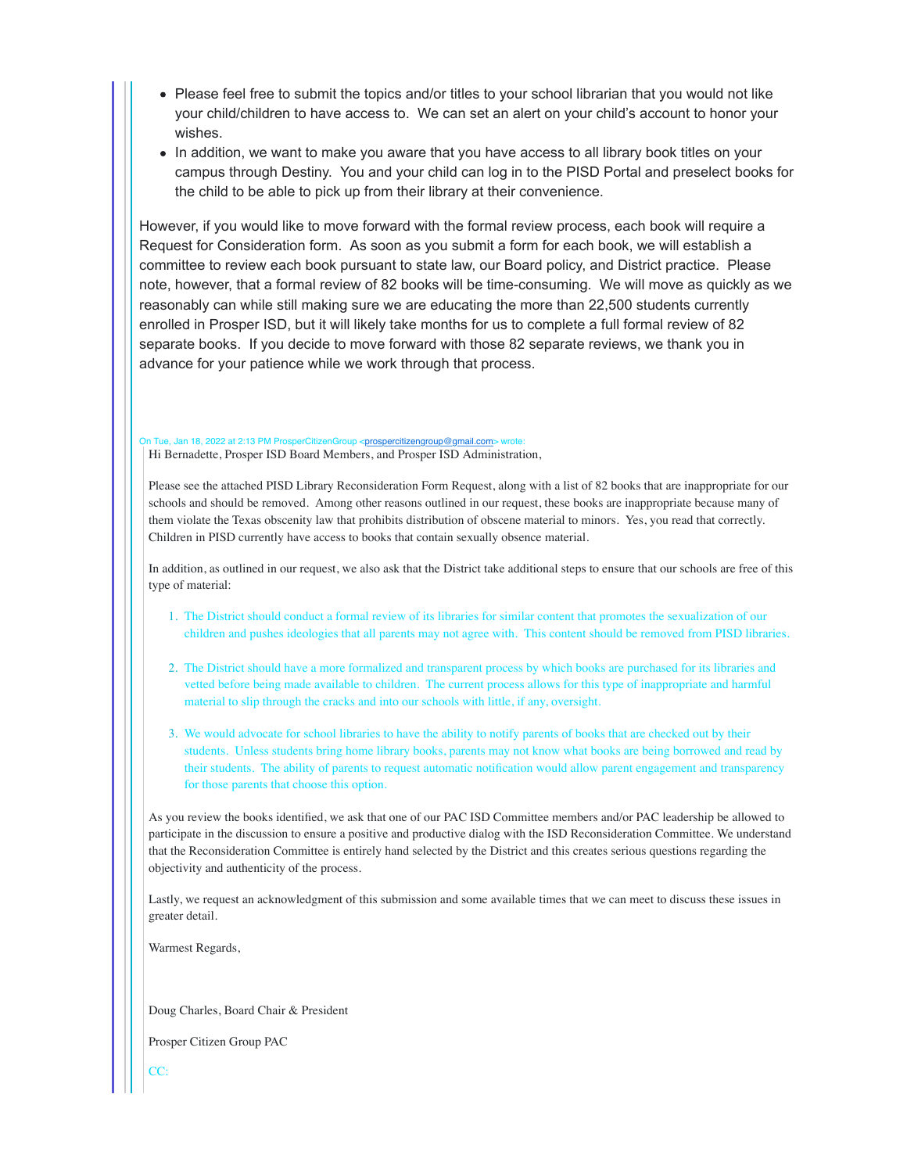- Please feel free to submit the topics and/or titles to your school librarian that you would not like your child/children to have access to. We can set an alert on your child's account to honor your wishes.
- In addition, we want to make you aware that you have access to all library book titles on your campus through Destiny. You and your child can log in to the PISD Portal and preselect books for the child to be able to pick up from their library at their convenience.

However, if you would like to move forward with the formal review process, each book will require a Request for Consideration form. As soon as you submit a form for each book, we will establish a committee to review each book pursuant to state law, our Board policy, and District practice. Please note, however, that a formal review of 82 books will be time-consuming. We will move as quickly as we reasonably can while still making sure we are educating the more than 22,500 students currently enrolled in Prosper ISD, but it will likely take months for us to complete a full formal review of 82 separate books. If you decide to move forward with those 82 separate reviews, we thank you in advance for your patience while we work through that process.

On Tue, Jan 18, 2022 at 2:13 PM ProsperCitizenGroup [<prospercitizengroup@gmail.com](mailto:prospercitizengroup@gmail.com)> \ Hi Bernadette, Prosper ISD Board Members, and Prosper ISD Administration,

Please see the attached PISD Library Reconsideration Form Request, along with a list of 82 books that are inappropriate for our schools and should be removed. Among other reasons outlined in our request, these books are inappropriate because many of them violate the Texas obscenity law that prohibits distribution of obscene material to minors. Yes, you read that correctly. Children in PISD currently have access to books that contain sexually obsence material.

In addition, as outlined in our request, we also ask that the District take additional steps to ensure that our schools are free of this type of material:

- 1. The District should conduct a formal review of its libraries for similar content that promotes the sexualization of our children and pushes ideologies that all parents may not agree with. This content should be removed from PISD libraries.
- 2. The District should have a more formalized and transparent process by which books are purchased for its libraries and vetted before being made available to children. The current process allows for this type of inappropriate and harmful material to slip through the cracks and into our schools with little, if any, oversight.
- 3. We would advocate for school libraries to have the ability to notify parents of books that are checked out by their students. Unless students bring home library books, parents may not know what books are being borrowed and read by their students. The ability of parents to request automatic notification would allow parent engagement and transparency for those parents that choose this option.

As you review the books identified, we ask that one of our PAC ISD Committee members and/or PAC leadership be allowed to participate in the discussion to ensure a positive and productive dialog with the ISD Reconsideration Committee. We understand that the Reconsideration Committee is entirely hand selected by the District and this creates serious questions regarding the objectivity and authenticity of the process.

Lastly, we request an acknowledgment of this submission and some available times that we can meet to discuss these issues in greater detail.

Warmest Regards,

Doug Charles, Board Chair & President

Prosper Citizen Group PAC

CC: